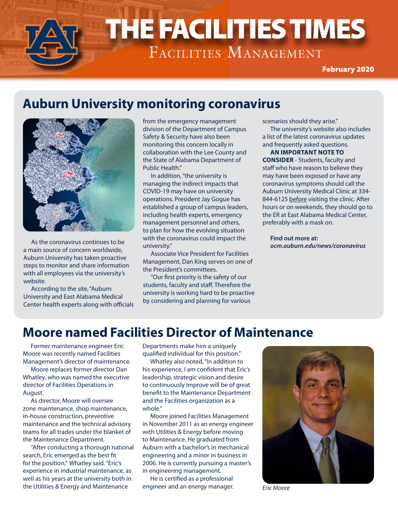# THE FACILITIES TIMES THE FACILITIES TIMES

February 2020

### **Auburn University monitoring coronavirus**



As the coronavirus continues to be a main source of concern worldwide, Auburn University has taken proactive steps to monitor and share information with all employees via the university's website.

According to the site, "Auburn University and East Alabama Medical Center health experts along with officials from the emergency management division of the Department of Campus Safety & Security have also been monitoring this concern locally in collaboration with the Lee County and the State of Alabama Department of Public Health."

In addition, "the university is managing the indirect impacts that COVID-19 may have on university operations. President Jay Gogue has established a group of campus leaders, including health experts, emergency management personnel and others, to plan for how the evolving situation with the coronavirus could impact the university."

Associate Vice President for Facilities Management, Dan King serves on one of the President's committees.

"Our first priority is the safety of our students, faculty and staff. Therefore the university is working hard to be proactive by considering and planning for various

scenarios should they arise."

The university's website also includes a list of the latest coronavirus updates and frequently asked questions.

### **AN IMPORTANT NOTE TO**

**CONSIDER** - Students, faculty and staff who have reason to believe they may have been exposed or have any coronavirus symptoms should call the Auburn University Medical Clinic at 334- 844-6125 before visiting the clinic. After hours or on weekends, they should go to the ER at East Alabama Medical Center, preferably with a mask on.

**Find out more at:** *ocm.auburn.edu/news/coronavirus*

### **Moore named Facilities Director of Maintenance**

Former maintenance engineer Eric Moore was recently named Facilities Management's director of maintenance.

Moore replaces former director Dan Whatley, who was named the executive director of Facilities Operations in August.

As director, Moore will oversee zone maintenance, shop maintenance, in-house construction, preventive maintenance and the technical advisory teams for all trades under the blanket of the Maintenance Department.

"After conducting a thorough national search, Eric emerged as the best fit for the position," Whatley said. "Eric's experience in industrial maintenance, as well as his years at the university both in the Utilities & Energy and Maintenance

Departments make him a uniquely qualified individual for this position."

Whatley also noted, "In addition to his experience, I am confident that Eric's leadership, strategic vision and desire to continuously improve will be of great benefit to the Maintenance Department and the Facilities organization as a whole."

Moore joined Facilities Management in November 2011 as an energy engineer with Utilities & Energy before moving to Maintenance. He graduated from Auburn with a bachelor's in mechanical engineering and a minor in business in 2006. He is currently pursuing a master's in engineering management.

He is certified as a professional engineer and an energy manager.



*Eric Moore*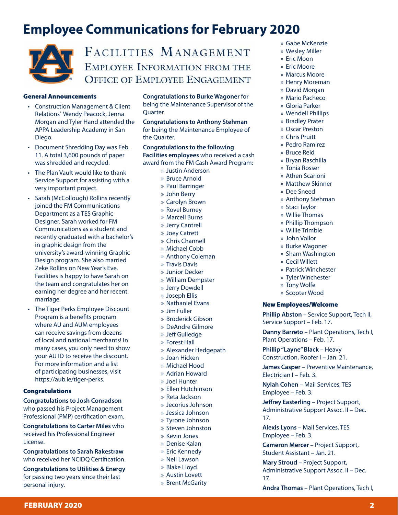## **Employee Communications for February 2020**



### FACILITIES MANAGEMENT EMPLOYEE INFORMATION FROM THE **OFFICE OF EMPLOYEE ENGAGEMENT**

#### General Announcements

- Construction Management & Client Relations' Wendy Peacock, Jenna Morgan and Tyler Hand attended the APPA Leadership Academy in San Diego.
- Document Shredding Day was Feb. 11. A total 3,600 pounds of paper was shredded and recycled.
- The Plan Vault would like to thank Service Support for assisting with a very important project.
- Sarah (McCollough) Rollins recently joined the FM Communications Department as a TES Graphic Designer. Sarah worked for FM Communications as a student and recently graduated with a bachelor's in graphic design from the university's award-winning Graphic Design program. She also married Zeke Rollins on New Year's Eve. Facilities is happy to have Sarah on the team and congratulates her on earning her degree and her recent marriage.
- The Tiger Perks Employee Discount Program is a benefits program where AU and AUM employees can receive savings from dozens of local and national merchants! In many cases, you only need to show your AU ID to receive the discount. For more information and a list of participating businesses, visit https://aub.ie/tiger-perks.

#### Congratulations

**Congratulations to Josh Conradson** who passed his Project Management Professional (PMP) certification exam.

**Congratulations to Carter Miles** who received his Professional Engineer License.

**Congratulations to Sarah Rakestraw**  who received her NCIDQ Certification.

**Congratulations to Utilities & Energy** for passing two years since their last personal injury.

**Congratulations to Burke Wagoner** for being the Maintenance Supervisor of the Quarter.

**Congratulations to Anthony Stehman** for being the Maintenance Employee of the Quarter.

**Congratulations to the following Facilities employees** who received a cash award from the FM Cash Award Program:

- » Justin Anderson
- » Bruce Arnold
- » Paul Barringer
- » John Berry
- » Carolyn Brown
- » Rovel Burney
- » Marcell Burns
- » Jerry Cantrell
- » Joey Catrett
- » Chris Channell
- » Michael Cobb
- » Anthony Coleman
- » Travis Davis
- » Junior Decker
- » William Dempster
- » Jerry Dowdell
- » Joseph Ellis
- » Nathaniel Evans
- » Jim Fuller
- » Broderick Gibson
- » DeAndre Gilmore
- » Jeff Gulledge
- » Forest Hall
- » Alexander Hedgepath
- » Joan Hicken
- » Michael Hood
- » Adrian Howard
- » Joel Hunter
- » Ellen Hutchinson
- » Reta Jackson
- » Jecorius Johnson
- » Jessica Johnson
- » Tyrone Johnson
- » Steven Johnston
- » Kevin Jones
- » Denise Kalan
- » Eric Kennedy
- » Neil Lawson
- » Blake Lloyd
- » Austin Lovett
- » Brent McGarity

FEBRUARY 2020 **2018** 

- » Gabe McKenzie
- » Wesley Miller
- » Eric Moon » Eric Moore
- » Marcus Moore
- » Henry Moreman
- » David Morgan
- » Mario Pacheco
- » Gloria Parker
- » Wendell Phillips
- » Bradley Prater
- » Oscar Preston
- » Chris Pruitt
- » Pedro Ramirez
- » Bruce Reid
- » Bryan Raschilla
- » Tonia Rosser
- » Athen Scarioni
- » Matthew Skinner
- » Dee Sneed
- » Anthony Stehman
- » Staci Taylor
- » Willie Thomas
- » Phillip Thompson
- » Willie Trimble
- » John Vollor
- » Burke Wagoner
- » Sharn Washington
- » Cecil Willett
- » Patrick Winchester
- » Tyler Winchester
- » Tony Wolfe
- » Scooter Wood

#### New Employees/Welcome

**Phillip Abston** – Service Support, Tech II, Service Support – Feb. 17.

**Danny Barreto** – Plant Operations, Tech I, Plant Operations – Feb. 17.

**Phillip "Layne" Black** – Heavy Construction, Roofer I – Jan. 21.

**James Casper** – Preventive Maintenance, Electrician I – Feb. 3.

**Nylah Cohen** – Mail Services, TES Employee – Feb. 3.

**Jeffrey Easterling** – Project Support, Administrative Support Assoc. II – Dec. 17.

**Alexis Lyons** – Mail Services, TES Employee – Feb. 3.

**Cameron Mercer** – Project Support, Student Assistant – Jan. 21.

**Mary Stroud** – Project Support, Administrative Support Assoc. II – Dec. 17.

**Andra Thomas** – Plant Operations, Tech I,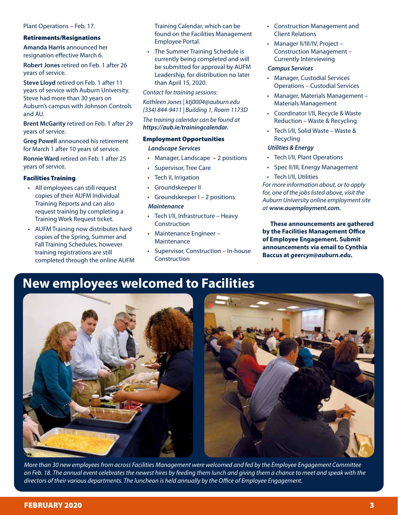#### Plant Operations – Feb. 17.

#### Retirements/Resignations

**Amanda Harris** announced her resignation effective March 6.

**Robert Jones** retired on Feb. 1 after 26 years of service.

**Steve Lloyd** retired on Feb. 1 after 11 years of service with Auburn University. Steve had more than 30 years on Auburn's campus with Johnson Controls and AU.

**Brent McGarity** retired on Feb. 1 after 29 years of service.

**Greg Powell** announced his retirement for March 1 after 10 years of service.

**Ronnie Ward** retired on Feb. 1 after 25 years of service.

#### Facilities Training

- All employees can still request copies of their AUFM Individual Training Reports and can also request training by completing a Training Work Request ticket.
- AUFM Training now distributes hard copies of the Spring, Summer and Fall Training Schedules, however training registrations are still completed through the online AUFM

Training Calendar, which can be found on the Facilities Management Employee Portal.

• The Summer Training Schedule is currently being completed and will be submitted for approval by AUFM Leadership, for distribution no later than April 15, 2020.

*Contact for training sessions:*

*Kathleen Jones | ktj0004@auburn.edu (334) 844-9411 | Building 1, Room 1173D*

*The training calendar can be found at https://aub.ie/trainingcalendar.*

#### Employment Opportunities

*Landscape Services*

- Manager, Landscape  $-2$  positions
- Supervisor, Tree Care
- Tech II, Irrigation
- Groundskeeper II
- Groundskeeper I 2 positions

#### *Maintenance*

- Tech I/II, Infrastructure Heavy Construction
- Maintenance Engineer Maintenance
- Supervisor, Construction In-house Construction
- Construction Management and Client Relations
- Manager II/III/IV, Project Construction Management – Currently Interviewing

#### *Campus Services*

- Manager, Custodial Services Operations – Custodial Services
- Manager, Materials Management Materials Management
- Coordinator I/II, Recycle & Waste Reduction – Waste & Recycling
- Tech I/II, Solid Waste Waste & Recycling

#### *Utilities & Energy*

- Tech I/II, Plant Operations
- Spec II/III, Energy Management
- Tech I/II, Utilities

*For more information about, or to apply for, one of the jobs listed above, visit the Auburn University online employment site at www.auemployment.com.*

**These announcements are gathered by the Facilities Management Office of Employee Engagement. Submit announcements via email to Cynthia Baccus at** *geercyn@auburn.edu***.**

### **New employees welcomed to Facilities**



*More than 30 new employees from across Facilities Management were welcomed and fed by the Employee Engagement Committee on Feb. 18. The annual event celebrates the newest hires by feeding them lunch and giving them a chance to meet and speak with the directors of their various departments. The luncheon is held annually by the Office of Employee Engagement.*